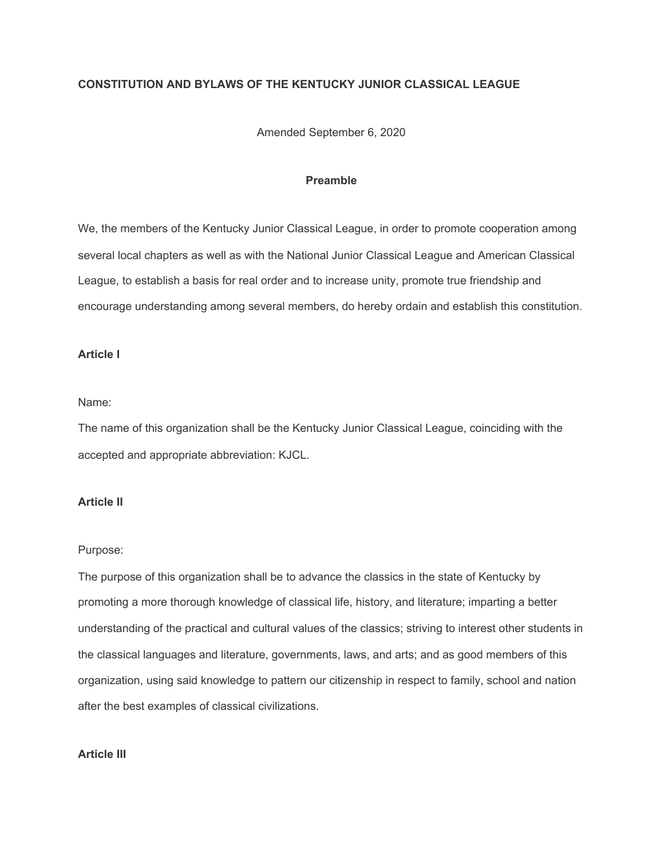## **CONSTITUTION AND BYLAWS OF THE KENTUCKY JUNIOR CLASSICAL LEAGUE**

Amended September 6, 2020

## **Preamble**

We, the members of the Kentucky Junior Classical League, in order to promote cooperation among several local chapters as well as with the National Junior Classical League and American Classical League, to establish a basis for real order and to increase unity, promote true friendship and encourage understanding among several members, do hereby ordain and establish this constitution.

## **Article I**

## Name:

The name of this organization shall be the Kentucky Junior Classical League, coinciding with the accepted and appropriate abbreviation: KJCL.

## **Article II**

#### Purpose:

The purpose of this organization shall be to advance the classics in the state of Kentucky by promoting a more thorough knowledge of classical life, history, and literature; imparting a better understanding of the practical and cultural values of the classics; striving to interest other students in the classical languages and literature, governments, laws, and arts; and as good members of this organization, using said knowledge to pattern our citizenship in respect to family, school and nation after the best examples of classical civilizations.

## **Article III**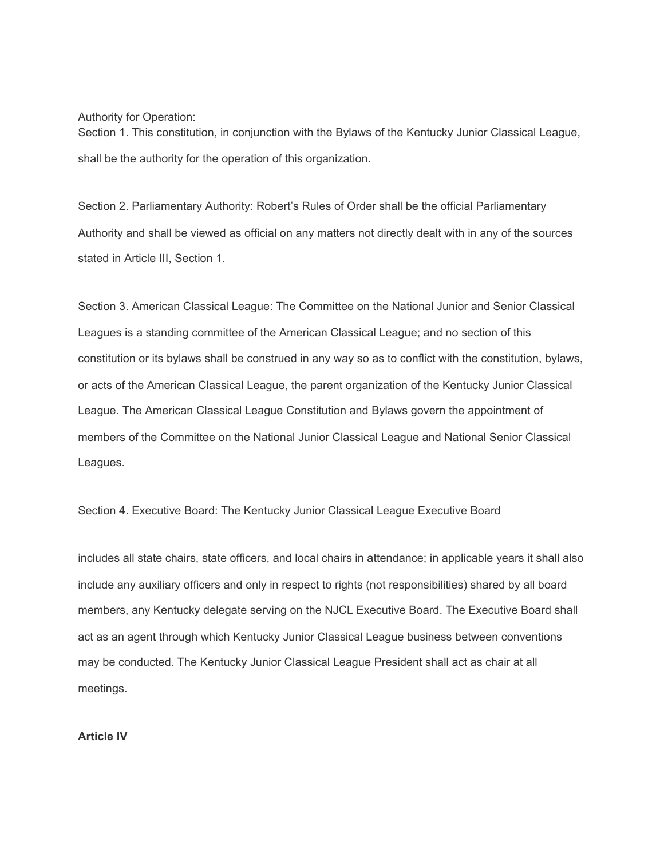Authority for Operation:

Section 1. This constitution, in conjunction with the Bylaws of the Kentucky Junior Classical League, shall be the authority for the operation of this organization.

Section 2. Parliamentary Authority: Robert's Rules of Order shall be the official Parliamentary Authority and shall be viewed as official on any matters not directly dealt with in any of the sources stated in Article III, Section 1.

Section 3. American Classical League: The Committee on the National Junior and Senior Classical Leagues is a standing committee of the American Classical League; and no section of this constitution or its bylaws shall be construed in any way so as to conflict with the constitution, bylaws, or acts of the American Classical League, the parent organization of the Kentucky Junior Classical League. The American Classical League Constitution and Bylaws govern the appointment of members of the Committee on the National Junior Classical League and National Senior Classical Leagues.

Section 4. Executive Board: The Kentucky Junior Classical League Executive Board

includes all state chairs, state officers, and local chairs in attendance; in applicable years it shall also include any auxiliary officers and only in respect to rights (not responsibilities) shared by all board members, any Kentucky delegate serving on the NJCL Executive Board. The Executive Board shall act as an agent through which Kentucky Junior Classical League business between conventions may be conducted. The Kentucky Junior Classical League President shall act as chair at all meetings.

**Article IV**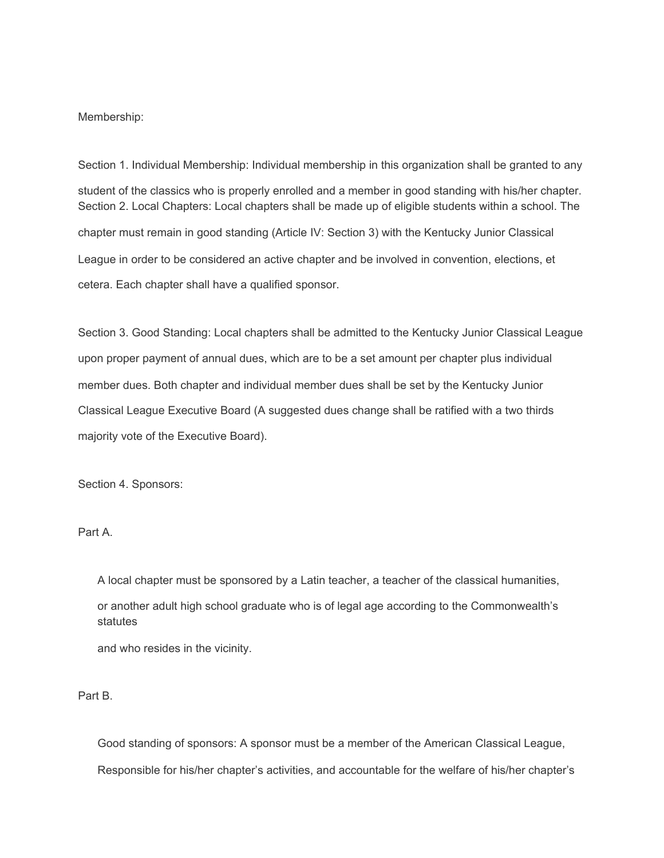#### Membership:

Section 1. Individual Membership: Individual membership in this organization shall be granted to any student of the classics who is properly enrolled and a member in good standing with his/her chapter. Section 2. Local Chapters: Local chapters shall be made up of eligible students within a school. The chapter must remain in good standing (Article IV: Section 3) with the Kentucky Junior Classical League in order to be considered an active chapter and be involved in convention, elections, et cetera. Each chapter shall have a qualified sponsor.

Section 3. Good Standing: Local chapters shall be admitted to the Kentucky Junior Classical League upon proper payment of annual dues, which are to be a set amount per chapter plus individual member dues. Both chapter and individual member dues shall be set by the Kentucky Junior Classical League Executive Board (A suggested dues change shall be ratified with a two thirds majority vote of the Executive Board).

Section 4. Sponsors:

Part A.

A local chapter must be sponsored by a Latin teacher, a teacher of the classical humanities, or another adult high school graduate who is of legal age according to the Commonwealth's statutes

and who resides in the vicinity.

#### Part B.

Good standing of sponsors: A sponsor must be a member of the American Classical League, Responsible for his/her chapter's activities, and accountable for the welfare of his/her chapter's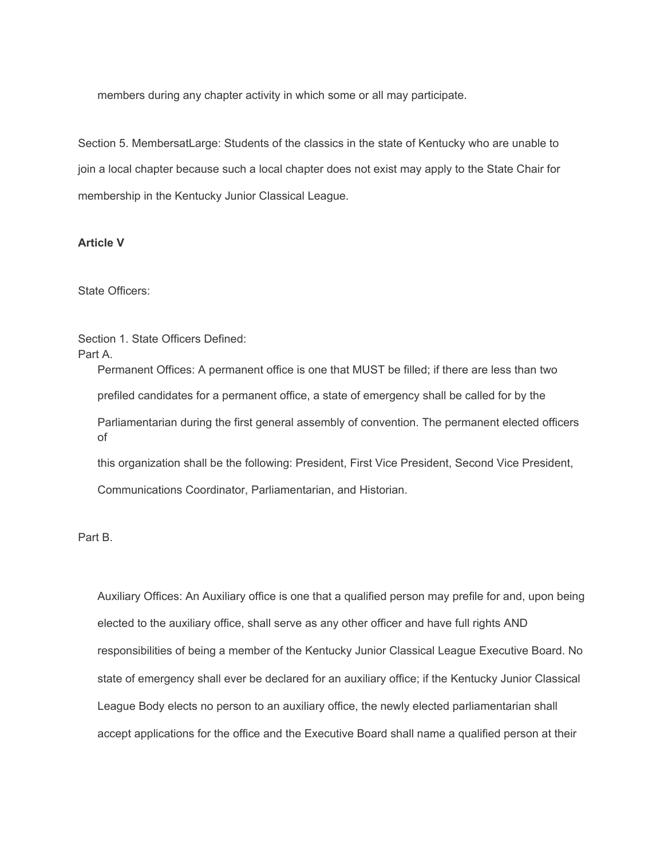members during any chapter activity in which some or all may participate.

Section 5. MembersatLarge: Students of the classics in the state of Kentucky who are unable to join a local chapter because such a local chapter does not exist may apply to the State Chair for membership in the Kentucky Junior Classical League.

#### **Article V**

State Officers:

Section 1. State Officers Defined: Part A.

> Permanent Offices: A permanent office is one that MUST be filled; if there are less than two prefiled candidates for a permanent office, a state of emergency shall be called for by the Parliamentarian during the first general assembly of convention. The permanent elected officers of this organization shall be the following: President, First Vice President, Second Vice President,

Communications Coordinator, Parliamentarian, and Historian.

Part B.

Auxiliary Offices: An Auxiliary office is one that a qualified person may prefile for and, upon being elected to the auxiliary office, shall serve as any other officer and have full rights AND responsibilities of being a member of the Kentucky Junior Classical League Executive Board. No state of emergency shall ever be declared for an auxiliary office; if the Kentucky Junior Classical League Body elects no person to an auxiliary office, the newly elected parliamentarian shall accept applications for the office and the Executive Board shall name a qualified person at their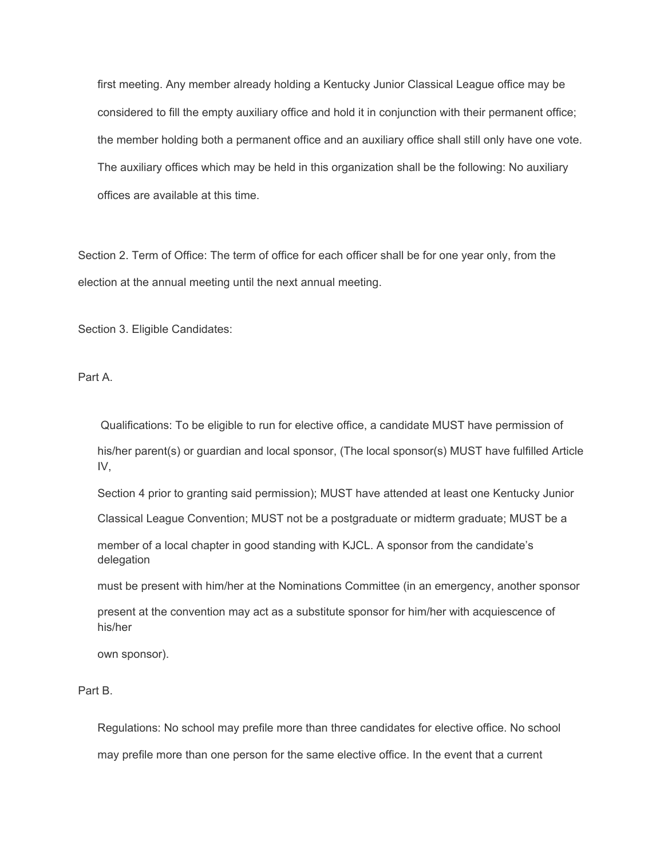first meeting. Any member already holding a Kentucky Junior Classical League office may be considered to fill the empty auxiliary office and hold it in conjunction with their permanent office; the member holding both a permanent office and an auxiliary office shall still only have one vote. The auxiliary offices which may be held in this organization shall be the following: No auxiliary offices are available at this time.

Section 2. Term of Office: The term of office for each officer shall be for one year only, from the election at the annual meeting until the next annual meeting.

Section 3. Eligible Candidates:

Part A.

 Qualifications: To be eligible to run for elective office, a candidate MUST have permission of his/her parent(s) or guardian and local sponsor, (The local sponsor(s) MUST have fulfilled Article IV,

Section 4 prior to granting said permission); MUST have attended at least one Kentucky Junior

Classical League Convention; MUST not be a postgraduate or midterm graduate; MUST be a

member of a local chapter in good standing with KJCL. A sponsor from the candidate's delegation

must be present with him/her at the Nominations Committee (in an emergency, another sponsor

present at the convention may act as a substitute sponsor for him/her with acquiescence of his/her

own sponsor).

# Part B.

Regulations: No school may prefile more than three candidates for elective office. No school may prefile more than one person for the same elective office. In the event that a current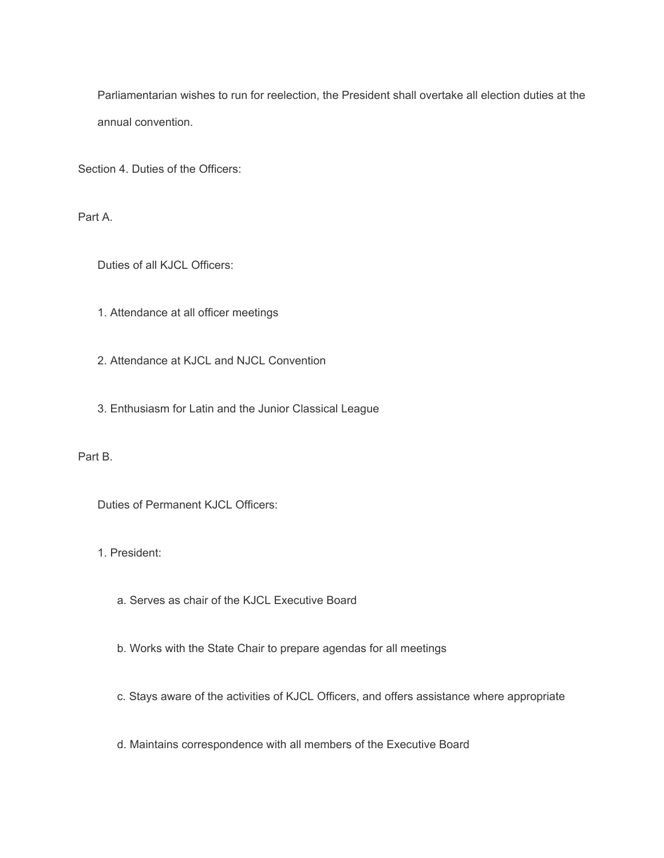Parliamentarian wishes to run for reelection, the President shall overtake all election duties at the annual convention.

Section 4. Duties of the Officers:

Part A.

Duties of all KJCL Officers:

- 1. Attendance at all officer meetings
- 2. Attendance at KJCL and NJCL Convention
- 3. Enthusiasm for Latin and the Junior Classical League

Part B.

Duties of Permanent KJCL Officers:

1. President:

- a. Serves as chair of the KJCL Executive Board
- b. Works with the State Chair to prepare agendas for all meetings
- c. Stays aware of the activities of KJCL Officers, and offers assistance where appropriate
- d. Maintains correspondence with all members of the Executive Board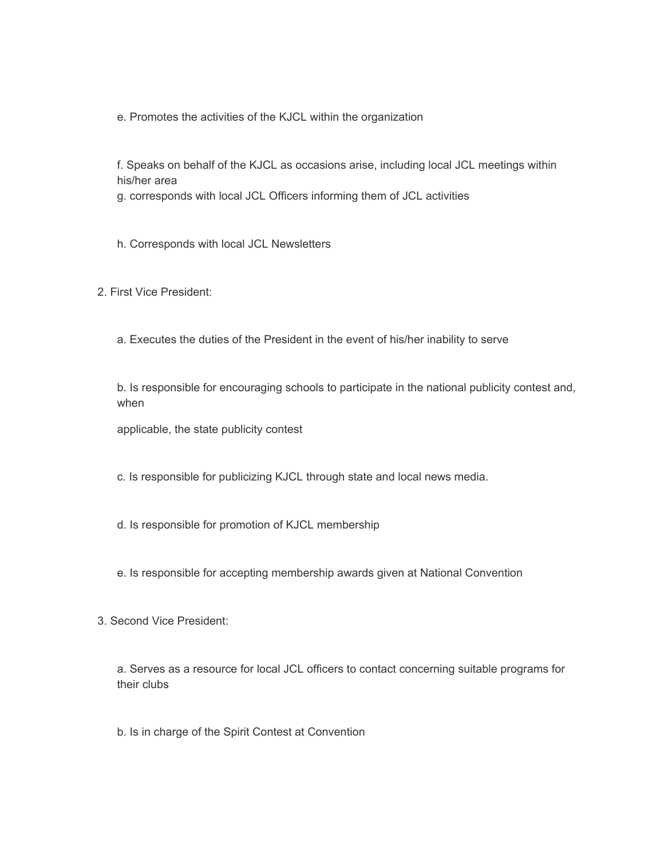e. Promotes the activities of the KJCL within the organization

f. Speaks on behalf of the KJCL as occasions arise, including local JCL meetings within his/her area

g. corresponds with local JCL Officers informing them of JCL activities

h. Corresponds with local JCL Newsletters

2. First Vice President:

a. Executes the duties of the President in the event of his/her inability to serve

b. Is responsible for encouraging schools to participate in the national publicity contest and, when

applicable, the state publicity contest

c. Is responsible for publicizing KJCL through state and local news media.

d. Is responsible for promotion of KJCL membership

e. Is responsible for accepting membership awards given at National Convention

3. Second Vice President:

a. Serves as a resource for local JCL officers to contact concerning suitable programs for their clubs

b. Is in charge of the Spirit Contest at Convention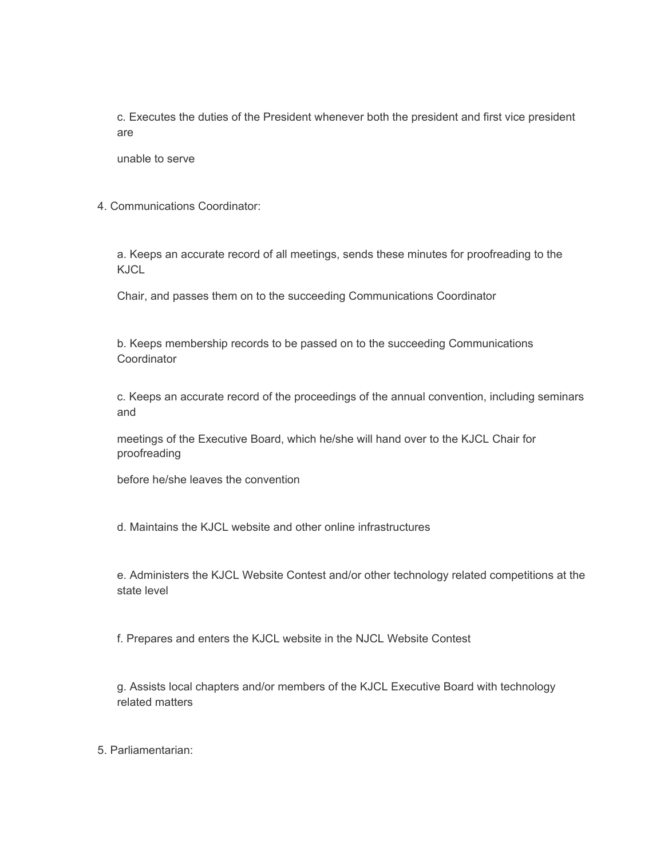c. Executes the duties of the President whenever both the president and first vice president are

unable to serve

4. Communications Coordinator:

a. Keeps an accurate record of all meetings, sends these minutes for proofreading to the KJCL

Chair, and passes them on to the succeeding Communications Coordinator

b. Keeps membership records to be passed on to the succeeding Communications **Coordinator** 

c. Keeps an accurate record of the proceedings of the annual convention, including seminars and

meetings of the Executive Board, which he/she will hand over to the KJCL Chair for proofreading

before he/she leaves the convention

d. Maintains the KJCL website and other online infrastructures

e. Administers the KJCL Website Contest and/or other technology related competitions at the state level

f. Prepares and enters the KJCL website in the NJCL Website Contest

g. Assists local chapters and/or members of the KJCL Executive Board with technology related matters

5. Parliamentarian: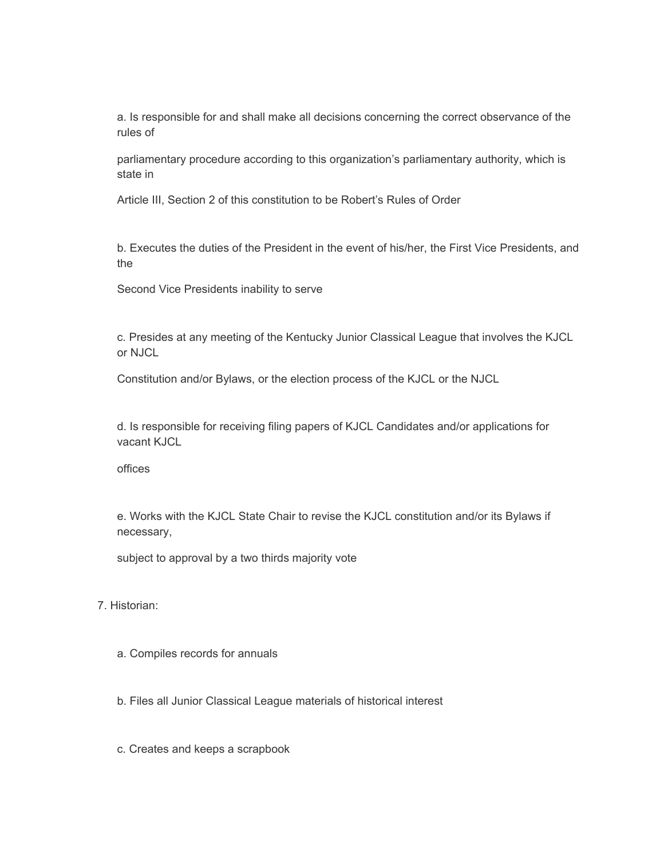a. Is responsible for and shall make all decisions concerning the correct observance of the rules of

parliamentary procedure according to this organization's parliamentary authority, which is state in

Article III, Section 2 of this constitution to be Robert's Rules of Order

b. Executes the duties of the President in the event of his/her, the First Vice Presidents, and the

Second Vice Presidents inability to serve

c. Presides at any meeting of the Kentucky Junior Classical League that involves the KJCL or NJCL

Constitution and/or Bylaws, or the election process of the KJCL or the NJCL

d. Is responsible for receiving filing papers of KJCL Candidates and/or applications for vacant KJCL

offices

e. Works with the KJCL State Chair to revise the KJCL constitution and/or its Bylaws if necessary,

subject to approval by a two thirds majority vote

7. Historian:

a. Compiles records for annuals

b. Files all Junior Classical League materials of historical interest

c. Creates and keeps a scrapbook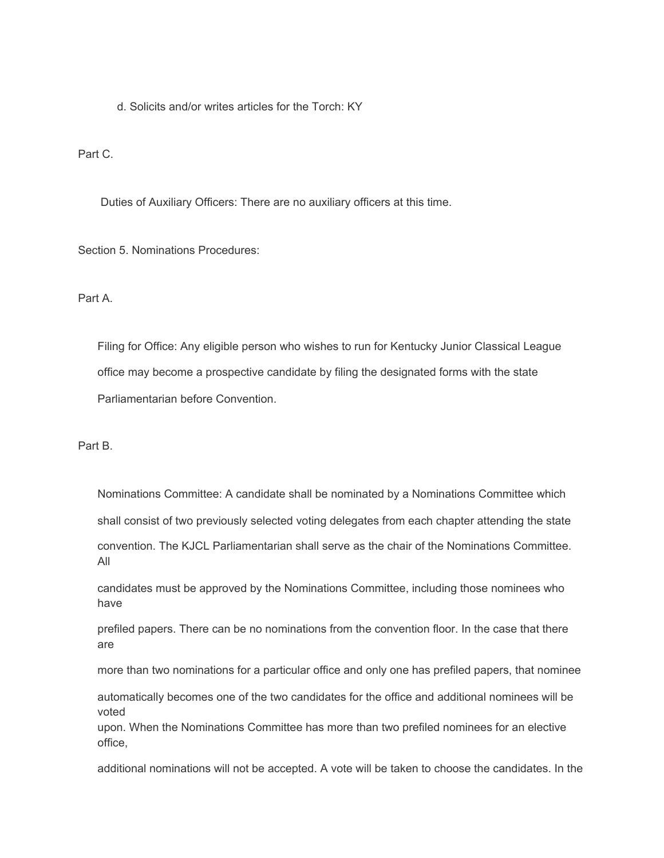d. Solicits and/or writes articles for the Torch: KY

Part C.

Duties of Auxiliary Officers: There are no auxiliary officers at this time.

Section 5. Nominations Procedures:

Part A.

Filing for Office: Any eligible person who wishes to run for Kentucky Junior Classical League office may become a prospective candidate by filing the designated forms with the state Parliamentarian before Convention.

Part B.

Nominations Committee: A candidate shall be nominated by a Nominations Committee which shall consist of two previously selected voting delegates from each chapter attending the state convention. The KJCL Parliamentarian shall serve as the chair of the Nominations Committee. All

candidates must be approved by the Nominations Committee, including those nominees who have

prefiled papers. There can be no nominations from the convention floor. In the case that there are

more than two nominations for a particular office and only one has prefiled papers, that nominee

automatically becomes one of the two candidates for the office and additional nominees will be voted

upon. When the Nominations Committee has more than two prefiled nominees for an elective office,

additional nominations will not be accepted. A vote will be taken to choose the candidates. In the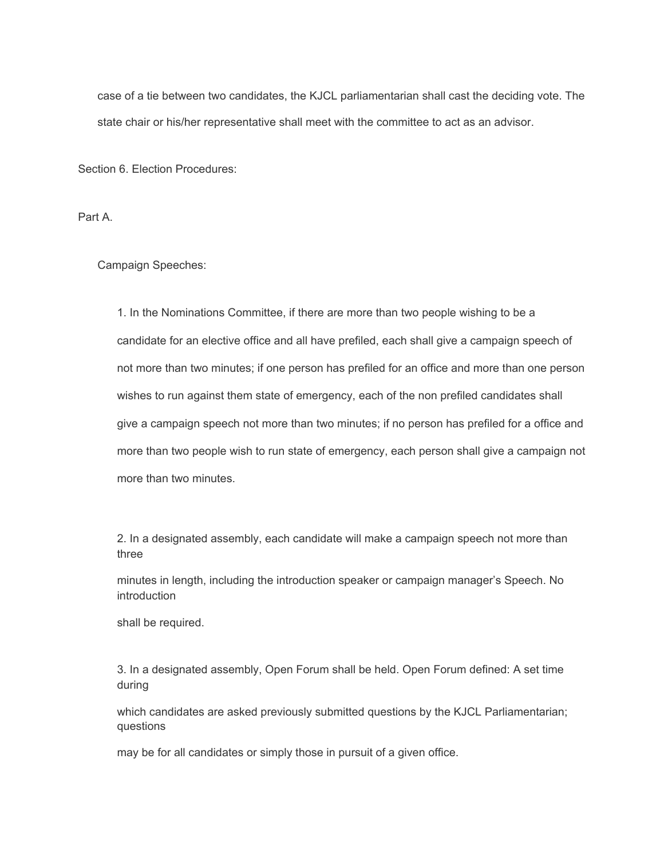case of a tie between two candidates, the KJCL parliamentarian shall cast the deciding vote. The state chair or his/her representative shall meet with the committee to act as an advisor.

Section 6. Election Procedures:

Part A.

Campaign Speeches:

1. In the Nominations Committee, if there are more than two people wishing to be a candidate for an elective office and all have prefiled, each shall give a campaign speech of not more than two minutes; if one person has prefiled for an office and more than one person wishes to run against them state of emergency, each of the non prefiled candidates shall give a campaign speech not more than two minutes; if no person has prefiled for a office and more than two people wish to run state of emergency, each person shall give a campaign not more than two minutes.

2. In a designated assembly, each candidate will make a campaign speech not more than three

minutes in length, including the introduction speaker or campaign manager's Speech. No introduction

shall be required.

3. In a designated assembly, Open Forum shall be held. Open Forum defined: A set time during

which candidates are asked previously submitted questions by the KJCL Parliamentarian; questions

may be for all candidates or simply those in pursuit of a given office.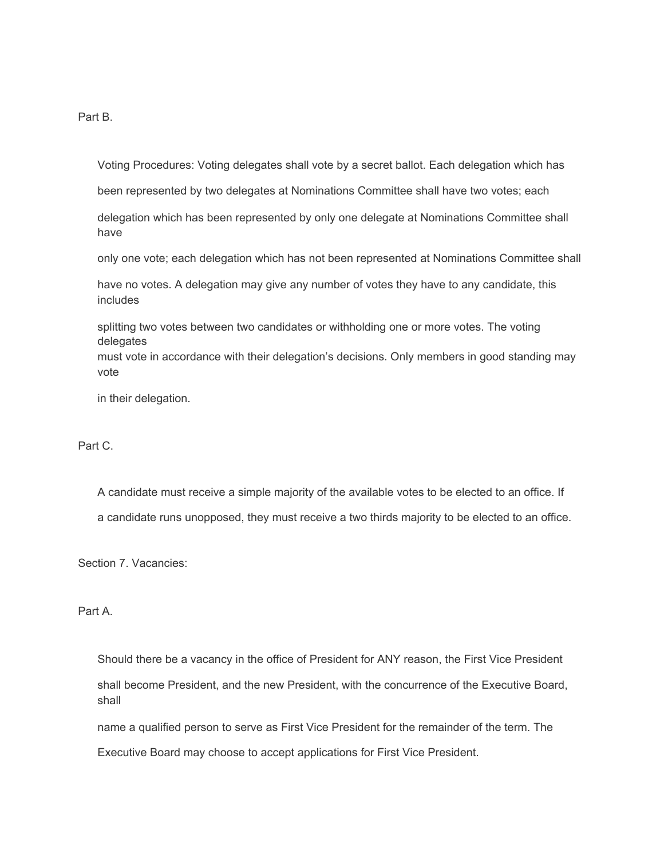Part B.

Voting Procedures: Voting delegates shall vote by a secret ballot. Each delegation which has

been represented by two delegates at Nominations Committee shall have two votes; each

delegation which has been represented by only one delegate at Nominations Committee shall have

only one vote; each delegation which has not been represented at Nominations Committee shall

have no votes. A delegation may give any number of votes they have to any candidate, this includes

splitting two votes between two candidates or withholding one or more votes. The voting delegates must vote in accordance with their delegation's decisions. Only members in good standing may

in their delegation.

## Part C.

vote

A candidate must receive a simple majority of the available votes to be elected to an office. If a candidate runs unopposed, they must receive a two thirds majority to be elected to an office.

Section 7. Vacancies:

Part A.

Should there be a vacancy in the office of President for ANY reason, the First Vice President shall become President, and the new President, with the concurrence of the Executive Board, shall

name a qualified person to serve as First Vice President for the remainder of the term. The

Executive Board may choose to accept applications for First Vice President.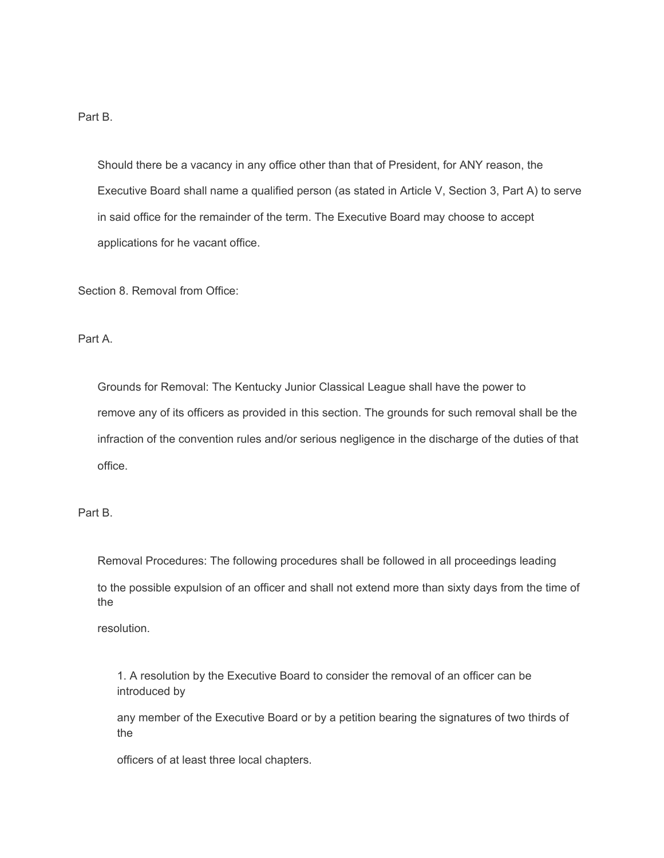Part B.

Should there be a vacancy in any office other than that of President, for ANY reason, the Executive Board shall name a qualified person (as stated in Article V, Section 3, Part A) to serve in said office for the remainder of the term. The Executive Board may choose to accept applications for he vacant office.

Section 8. Removal from Office:

Part A.

Grounds for Removal: The Kentucky Junior Classical League shall have the power to remove any of its officers as provided in this section. The grounds for such removal shall be the infraction of the convention rules and/or serious negligence in the discharge of the duties of that office.

Part B.

Removal Procedures: The following procedures shall be followed in all proceedings leading

to the possible expulsion of an officer and shall not extend more than sixty days from the time of the

resolution.

1. A resolution by the Executive Board to consider the removal of an officer can be introduced by

any member of the Executive Board or by a petition bearing the signatures of two thirds of the

officers of at least three local chapters.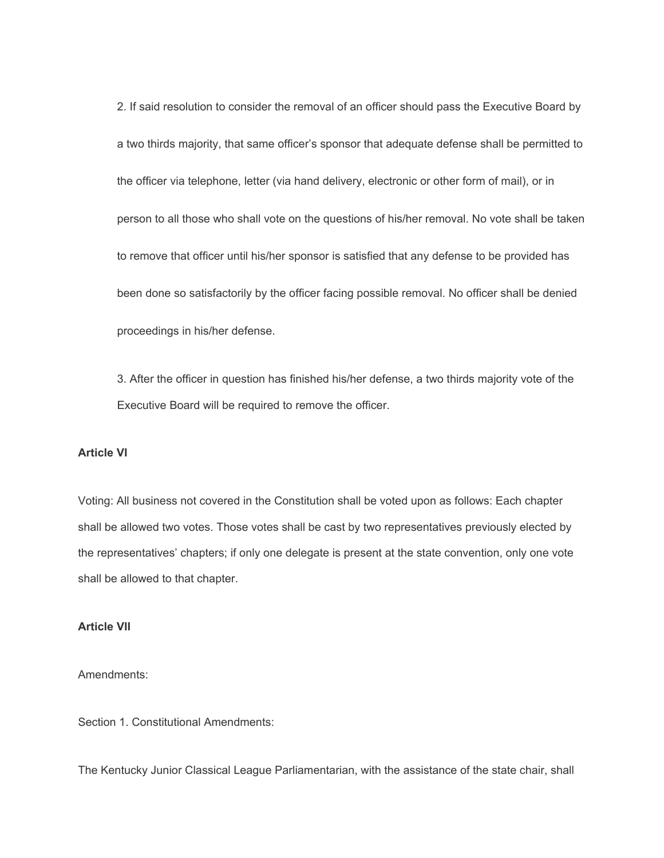2. If said resolution to consider the removal of an officer should pass the Executive Board by a two thirds majority, that same officer's sponsor that adequate defense shall be permitted to the officer via telephone, letter (via hand delivery, electronic or other form of mail), or in person to all those who shall vote on the questions of his/her removal. No vote shall be taken to remove that officer until his/her sponsor is satisfied that any defense to be provided has been done so satisfactorily by the officer facing possible removal. No officer shall be denied proceedings in his/her defense.

3. After the officer in question has finished his/her defense, a two thirds majority vote of the Executive Board will be required to remove the officer.

## **Article VI**

Voting: All business not covered in the Constitution shall be voted upon as follows: Each chapter shall be allowed two votes. Those votes shall be cast by two representatives previously elected by the representatives' chapters; if only one delegate is present at the state convention, only one vote shall be allowed to that chapter.

## **Article VII**

Amendments:

Section 1. Constitutional Amendments:

The Kentucky Junior Classical League Parliamentarian, with the assistance of the state chair, shall